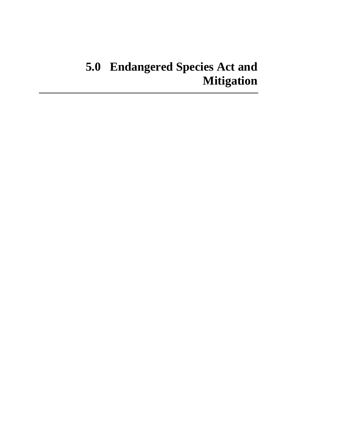# **5.0 Endangered Species Act and Mitigation**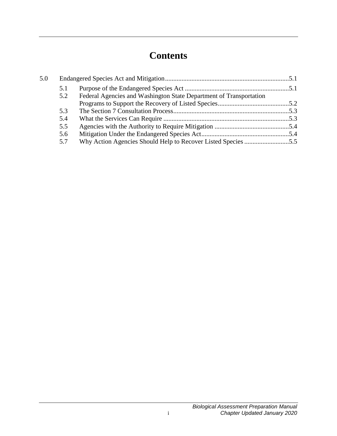# **Contents**

| 5.0 |     |                                                                    |  |
|-----|-----|--------------------------------------------------------------------|--|
|     | 5.1 |                                                                    |  |
|     | 5.2 | Federal Agencies and Washington State Department of Transportation |  |
|     |     |                                                                    |  |
|     | 5.3 |                                                                    |  |
|     | 5.4 |                                                                    |  |
|     | 5.5 |                                                                    |  |
|     | 5.6 |                                                                    |  |
|     | 5.7 |                                                                    |  |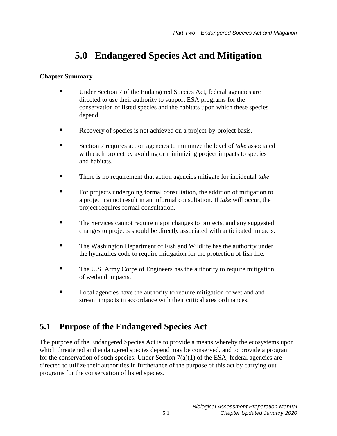# **5.0 Endangered Species Act and Mitigation**

#### <span id="page-4-0"></span>**Chapter Summary**

- Under Section 7 of the Endangered Species Act, federal agencies are directed to use their authority to support ESA programs for the conservation of listed species and the habitats upon which these species depend.
- Recovery of species is not achieved on a project-by-project basis.
- Section 7 requires action agencies to minimize the level of *take* associated with each project by avoiding or minimizing project impacts to species and habitats.
- There is no requirement that action agencies mitigate for incidental *take*.
- **For projects undergoing formal consultation, the addition of mitigation to** a project cannot result in an informal consultation. If *take* will occur, the project requires formal consultation.
- The Services cannot require major changes to projects, and any suggested changes to projects should be directly associated with anticipated impacts.
- **The Washington Department of Fish and Wildlife has the authority under** the hydraulics code to require mitigation for the protection of fish life.
- The U.S. Army Corps of Engineers has the authority to require mitigation of wetland impacts.
- **Local agencies have the authority to require mitigation of wetland and** stream impacts in accordance with their critical area ordinances.

## <span id="page-4-1"></span>**5.1 Purpose of the Endangered Species Act**

The purpose of the Endangered Species Act is to provide a means whereby the ecosystems upon which threatened and endangered species depend may be conserved, and to provide a program for the conservation of such species. Under Section  $7(a)(1)$  of the ESA, federal agencies are directed to utilize their authorities in furtherance of the purpose of this act by carrying out programs for the conservation of listed species.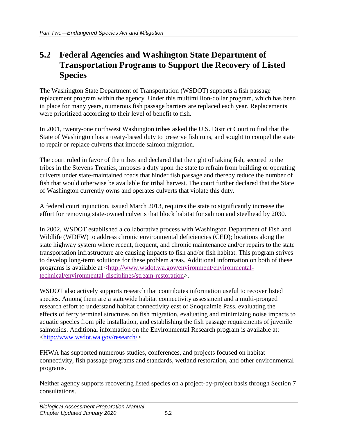#### <span id="page-5-0"></span>**5.2 Federal Agencies and Washington State Department of Transportation Programs to Support the Recovery of Listed Species**

The Washington State Department of Transportation (WSDOT) supports a fish passage replacement program within the agency. Under this multimillion-dollar program, which has been in place for many years, numerous fish passage barriers are replaced each year. Replacements were prioritized according to their level of benefit to fish.

In 2001, twenty-one northwest Washington tribes asked the U.S. District Court to find that the State of Washington has a treaty-based duty to preserve fish runs, and sought to compel the state to repair or replace culverts that impede salmon migration.

The court ruled in favor of the tribes and declared that the right of taking fish, secured to the tribes in the Stevens Treaties, imposes a duty upon the state to refrain from building or operating culverts under state-maintained roads that hinder fish passage and thereby reduce the number of fish that would otherwise be available for tribal harvest. The court further declared that the State of Washington currently owns and operates culverts that violate this duty.

A federal court injunction, issued March 2013, requires the state to significantly increase the effort for removing state-owned culverts that block habitat for salmon and steelhead by 2030.

In 2002, WSDOT established a collaborative process with Washington Department of Fish and Wildlife (WDFW) to address chronic environmental deficiencies (CED); locations along the state highway system where recent, frequent, and chronic maintenance and/or repairs to the state transportation infrastructure are causing impacts to fish and/or fish habitat. This program strives to develop long-term solutions for these problem areas. Additional information on both of these programs is available at [<http://www.wsdot.wa.gov/environment/environmental](http://www.wsdot.wa.gov/environment/environmental-technical/environmental-disciplines/stream-restoration)[technical/environmental-disciplines/stream-restoration>](http://www.wsdot.wa.gov/environment/environmental-technical/environmental-disciplines/stream-restoration).

WSDOT also actively supports research that contributes information useful to recover listed species. Among them are a statewide habitat connectivity assessment and a multi-pronged research effort to understand habitat connectivity east of Snoqualmie Pass, evaluating the effects of ferry terminal structures on fish migration, evaluating and minimizing noise impacts to aquatic species from pile installation, and establishing the fish passage requirements of juvenile salmonids. Additional information on the Environmental Research program is available at: [<http://www.wsdot.wa.gov/research/>](http://www.wsdot.wa.gov/research/).

FHWA has supported numerous studies, conferences, and projects focused on habitat connectivity, fish passage programs and standards, wetland restoration, and other environmental programs.

Neither agency supports recovering listed species on a project-by-project basis through Section 7 consultations.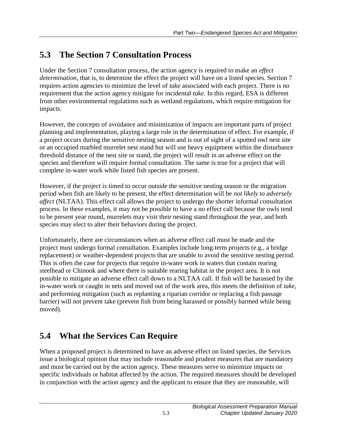# <span id="page-6-0"></span>**5.3 The Section 7 Consultation Process**

Under the Section 7 consultation process, the action agency is required to make an *effect determination*, that is, to determine the effect the project will have on a listed species. Section 7 requires action agencies to minimize the level of *take* associated with each project. There is no requirement that the action agency mitigate for incidental *take*. In this regard, ESA is different from other environmental regulations such as wetland regulations, which require mitigation for impacts.

However, the concepts of avoidance and minimization of impacts are important parts of project planning and implementation, playing a large role in the determination of effect. For example, if a project occurs during the sensitive nesting season and is out of sight of a spotted owl nest site or an occupied marbled murrelet nest stand but will use heavy equipment within the disturbance threshold distance of the nest site or stand, the project will result in an adverse effect on the species and therefore will require formal consultation. The same is true for a project that will complete in-water work while listed fish species are present.

However, if the project is timed to occur outside the sensitive nesting season or the migration period when fish are likely to be present, the effect determination will be *not likely to adversely affect* (NLTAA). This effect call allows the project to undergo the shorter informal consultation process. In these examples, it may not be possible to have a no effect call because the owls tend to be present year round, murrelets may visit their nesting stand throughout the year, and both species may elect to alter their behaviors during the project.

Unfortunately, there are circumstances when an adverse effect call must be made and the project must undergo formal consultation. Examples include long-term projects (e.g., a bridge replacement) or weather-dependent projects that are unable to avoid the sensitive nesting period. This is often the case for projects that require in-water work in waters that contain rearing steelhead or Chinook and where there is suitable rearing habitat in the project area. It is not possible to mitigate an adverse effect call down to a NLTAA call. If fish will be harassed by the in-water work or caught in nets and moved out of the work area, this meets the definition of *take*, and performing mitigation (such as replanting a riparian corridor or replacing a fish passage barrier) will not prevent take (prevent fish from being harassed or possibly harmed while being moved).

# <span id="page-6-1"></span>**5.4 What the Services Can Require**

When a proposed project is determined to have an adverse effect on listed species, the Services issue a biological opinion that may include reasonable and prudent measures that are mandatory and must be carried out by the action agency. These measures serve to minimize impacts on specific individuals or habitat affected by the action. The required measures should be developed in conjunction with the action agency and the applicant to ensure that they are reasonable, will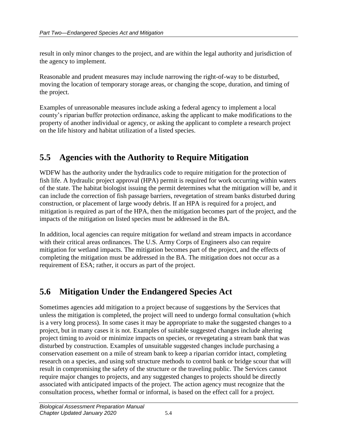result in only minor changes to the project, and are within the legal authority and jurisdiction of the agency to implement.

Reasonable and prudent measures may include narrowing the right-of-way to be disturbed, moving the location of temporary storage areas, or changing the scope, duration, and timing of the project.

Examples of unreasonable measures include asking a federal agency to implement a local county's riparian buffer protection ordinance, asking the applicant to make modifications to the property of another individual or agency, or asking the applicant to complete a research project on the life history and habitat utilization of a listed species.

### <span id="page-7-0"></span>**5.5 Agencies with the Authority to Require Mitigation**

WDFW has the authority under the hydraulics code to require mitigation for the protection of fish life. A hydraulic project approval (HPA) permit is required for work occurring within waters of the state. The habitat biologist issuing the permit determines what the mitigation will be, and it can include the correction of fish passage barriers, revegetation of stream banks disturbed during construction, or placement of large woody debris. If an HPA is required for a project, and mitigation is required as part of the HPA, then the mitigation becomes part of the project, and the impacts of the mitigation on listed species must be addressed in the BA.

In addition, local agencies can require mitigation for wetland and stream impacts in accordance with their critical areas ordinances. The U.S. Army Corps of Engineers also can require mitigation for wetland impacts. The mitigation becomes part of the project, and the effects of completing the mitigation must be addressed in the BA. The mitigation does not occur as a requirement of ESA; rather, it occurs as part of the project.

#### <span id="page-7-1"></span>**5.6 Mitigation Under the Endangered Species Act**

Sometimes agencies add mitigation to a project because of suggestions by the Services that unless the mitigation is completed, the project will need to undergo formal consultation (which is a very long process). In some cases it may be appropriate to make the suggested changes to a project, but in many cases it is not. Examples of suitable suggested changes include altering project timing to avoid or minimize impacts on species, or revegetating a stream bank that was disturbed by construction. Examples of unsuitable suggested changes include purchasing a conservation easement on a mile of stream bank to keep a riparian corridor intact, completing research on a species, and using soft structure methods to control bank or bridge scour that will result in compromising the safety of the structure or the traveling public. The Services cannot require major changes to projects, and any suggested changes to projects should be directly associated with anticipated impacts of the project. The action agency must recognize that the consultation process, whether formal or informal, is based on the effect call for a project.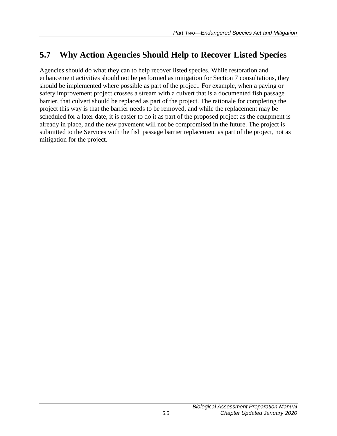### <span id="page-8-0"></span>**5.7 Why Action Agencies Should Help to Recover Listed Species**

Agencies should do what they can to help recover listed species. While restoration and enhancement activities should not be performed as mitigation for Section 7 consultations, they should be implemented where possible as part of the project. For example, when a paving or safety improvement project crosses a stream with a culvert that is a documented fish passage barrier, that culvert should be replaced as part of the project. The rationale for completing the project this way is that the barrier needs to be removed, and while the replacement may be scheduled for a later date, it is easier to do it as part of the proposed project as the equipment is already in place, and the new pavement will not be compromised in the future. The project is submitted to the Services with the fish passage barrier replacement as part of the project, not as mitigation for the project.